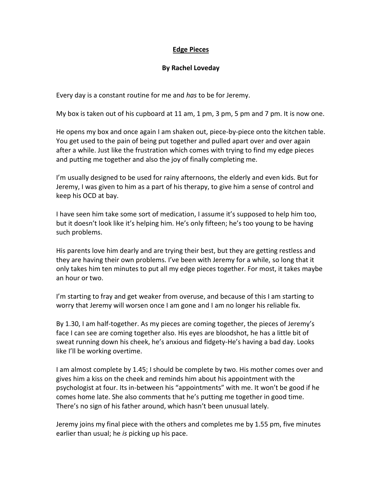## **Edge Pieces**

## **By Rachel Loveday**

Every day is a constant routine for me and *has* to be for Jeremy.

My box is taken out of his cupboard at 11 am, 1 pm, 3 pm, 5 pm and 7 pm. It is now one.

He opens my box and once again I am shaken out, piece-by-piece onto the kitchen table. You get used to the pain of being put together and pulled apart over and over again after a while. Just like the frustration which comes with trying to find my edge pieces and putting me together and also the joy of finally completing me.

I'm usually designed to be used for rainy afternoons, the elderly and even kids. But for Jeremy, I was given to him as a part of his therapy, to give him a sense of control and keep his OCD at bay.

I have seen him take some sort of medication, I assume it's supposed to help him too, but it doesn't look like it's helping him. He's only fifteen; he's too young to be having such problems.

His parents love him dearly and are trying their best, but they are getting restless and they are having their own problems. I've been with Jeremy for a while, so long that it only takes him ten minutes to put all my edge pieces together. For most, it takes maybe an hour or two.

I'm starting to fray and get weaker from overuse, and because of this I am starting to worry that Jeremy will worsen once I am gone and I am no longer his reliable fix.

By 1.30, I am half-together. As my pieces are coming together, the pieces of Jeremy's face I can see are coming together also. His eyes are bloodshot, he has a little bit of sweat running down his cheek, he's anxious and fidgety-He's having a bad day. Looks like I'll be working overtime.

I am almost complete by 1.45; I should be complete by two. His mother comes over and gives him a kiss on the cheek and reminds him about his appointment with the psychologist at four. Its in-between his "appointments" with me. It won't be good if he comes home late. She also comments that he's putting me together in good time. There's no sign of his father around, which hasn't been unusual lately.

Jeremy joins my final piece with the others and completes me by 1.55 pm, five minutes earlier than usual; he *is* picking up his pace.